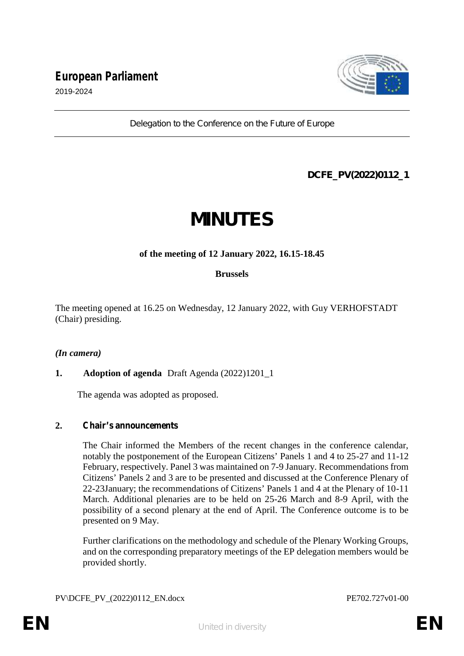

*Delegation to the Conference on the Future of Europe*

## **DCFE\_PV(2022)0112\_1**

## **MINUTES**

### **of the meeting of 12 January 2022, 16.15-18.45**

### **Brussels**

The meeting opened at 16.25 on Wednesday, 12 January 2022, with Guy VERHOFSTADT (Chair) presiding.

### *(In camera)*

### **1. Adoption of agenda** Draft Agenda (2022)1201\_1

The agenda was adopted as proposed.

### **2. Chair's announcements**

The Chair informed the Members of the recent changes in the conference calendar, notably the postponement of the European Citizens' Panels 1 and 4 to 25-27 and 11-12 February, respectively. Panel 3 was maintained on 7-9 January. Recommendations from Citizens' Panels 2 and 3 are to be presented and discussed at the Conference Plenary of 22-23January; the recommendations of Citizens' Panels 1 and 4 at the Plenary of 10-11 March. Additional plenaries are to be held on 25-26 March and 8-9 April, with the possibility of a second plenary at the end of April. The Conference outcome is to be presented on 9 May.

Further clarifications on the methodology and schedule of the Plenary Working Groups, and on the corresponding preparatory meetings of the EP delegation members would be provided shortly.

PV\DCFE\_PV\_(2022)0112\_EN.docx PE702.727v01-00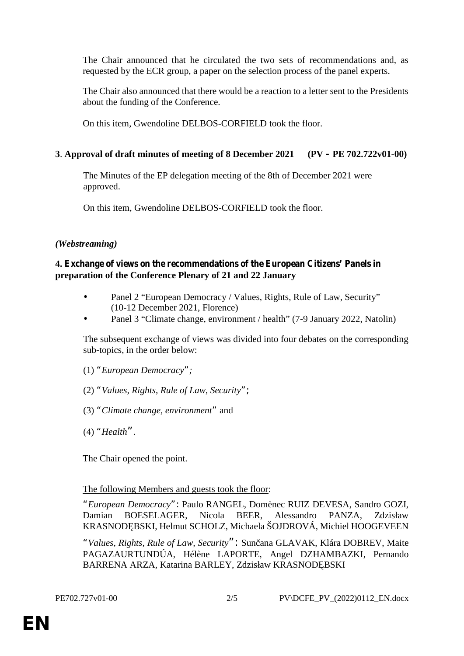The Chair announced that he circulated the two sets of recommendations and, as requested by the ECR group, a paper on the selection process of the panel experts.

The Chair also announced that there would be a reaction to a letter sent to the Presidents about the funding of the Conference.

On this item, Gwendoline DELBOS-CORFIELD took the floor.

### **3**. **Approval of draft minutes of meeting of 8 December 2021 (PV – PE 702.722v01-00)**

The Minutes of the EP delegation meeting of the 8th of December 2021 were approved.

On this item, Gwendoline DELBOS-CORFIELD took the floor.

### *(Webstreaming)*

### **4. Exchange of views on the recommendations of the European Citizens' Panels in preparation of the Conference Plenary of 21 and 22 January**

- Panel 2 "European Democracy / Values, Rights, Rule of Law, Security" (10-12 December 2021, Florence)
- Panel 3 "Climate change, environment / health" (7-9 January 2022, Natolin)

The subsequent exchange of views was divided into four debates on the corresponding sub-topics, in the order below:

- (1) *"European Democracy";*
- (2) *"Values, Rights, Rule of Law, Security";*
- (3) *"Climate change, environment"* and
- (4) *"Health"*.

The Chair opened the point.

### The following Members and guests took the floor:

*"European Democracy":* Paulo RANGEL, Domènec RUIZ DEVESA, Sandro GOZI, Damian BOESELAGER, Nicola BEER, Alessandro PANZA, Zdzisław KRASNOD BSKI, Helmut SCHOLZ, Michaela ŠOJDROVÁ, Michiel HOOGEVEEN

*"Values, Rights, Rule of Law, Security":* Sunčana GLAVAK, Klára DOBREV, Maite PAGAZAURTUNDÚA, Hélène LAPORTE, Angel DZHAMBAZKI, Pernando BARRENA ARZA, Katarina BARLEY, Zdzisław KRASNOD BSKI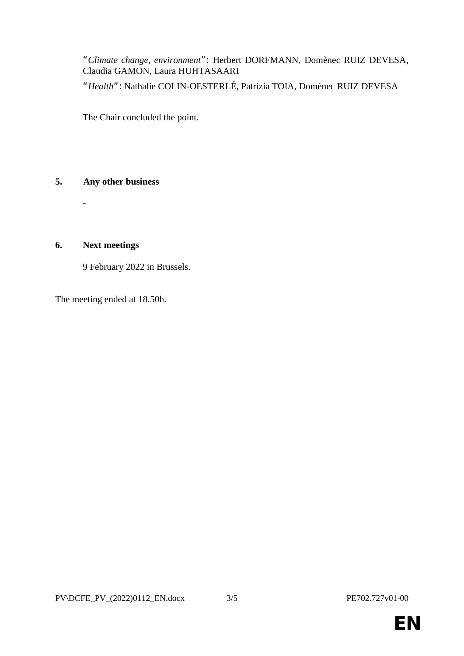*"Climate change, environment":* Herbert DORFMANN, Domènec RUIZ DEVESA, Claudia GAMON, Laura HUHTASAARI

*"Health":* Nathalie COLIN-OESTERLÉ, Patrizia TOIA, Domènec RUIZ DEVESA

The Chair concluded the point.

### **5. Any other business**

**6. Next meetings**

-

 $\mathbb{R}^n$ 9 February 2022 in Brussels.

The meeting ended at 18.50h.